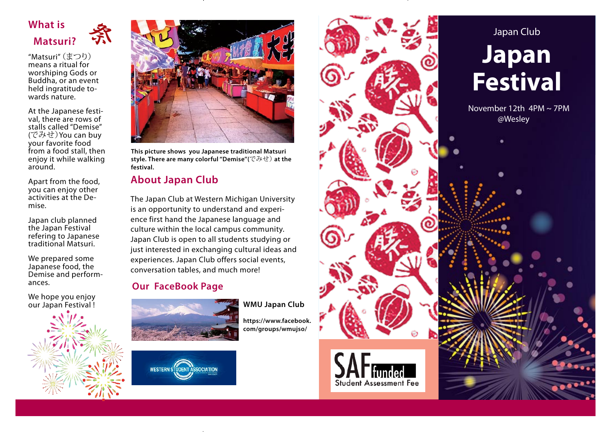# **What is Matsuri?**

"Matsuri" (まつり) means a ritual for worshiping Gods or Buddha, or an event held ingratitude towards nature.

条

At the Japanese festival, there are rows of stalls called "Demise" (でみせ)You can buy your favorite food from a food stall, then enjoy it while walking around.

Apart from the food, you can enjoy other activities at the Demise.

Japan club planned the Japan Festival refering to Japanese traditional Matsuri.

We prepared some Japanese food, the Demise and performances.

We hope you enjoy our Japan Festival !





**This picture shows you Japanese traditional Matsuri style. There are many colorful ''Demise''(**でみせ) **at the festival.**

# **About Japan Club**

The Japan Club at Western Michigan University is an opportunity to understand and experience first hand the Japanese language and culture within the local campus community. Japan Club is open to all students studying or just interested in exchanging cultural ideas and experiences. Japan Club offers social events, conversation tables, and much more!

## **Our FaceBook Page**





**WMU Japan Club**

**https://www.facebook. com/groups/wmujso/**

Japan Club Ego ille quem nosti **Japan**  apros et quidem. Ignis non hendit in ut al **Festival Molorum** *Alissequatum adionsed dolorpe raessim ilismol ortisi.* alit aut in henibh eugiam, quat la alit November 12th 4PM ~ 7PM  $\mathbb{E}$  @Wesley  $\mathbf{a}$  $T_{\rm A}$ ,  $T_{\rm A}$  $\mathbf{t}$ tion veliquate veliquate veliquate veliquate veliquate veliquate veliquate veliquate veliquate veliquate veliquate veliquate veliquate veliquate veliquate veliquate veliquate veliquate veliquate veliquate veliquat  $U: \mathbb{R}^n \to \mathbb{R}$ tat lum ex et al.  $\mathbb{Z}$ uscilit, si est eugiamet lorem vel del dolorpe raestrud ea facidunt num zzriustrud dolenisit zuen  $\blacksquare$ wisislatin kongkongkongkongkon $\overline{\mathcal{N}}$ **Student Assessment Fee**